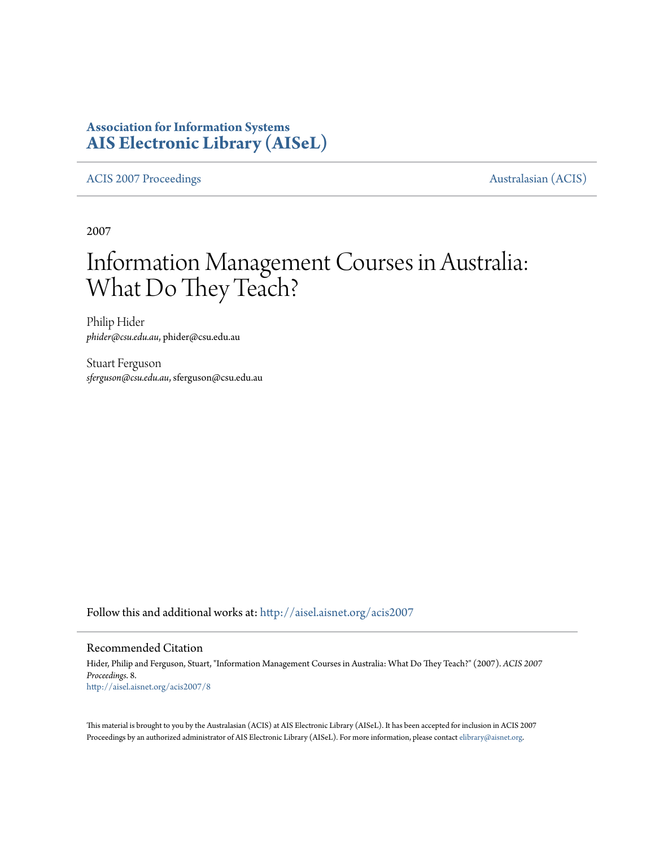# **Association for Information Systems [AIS Electronic Library \(AISeL\)](http://aisel.aisnet.org?utm_source=aisel.aisnet.org%2Facis2007%2F8&utm_medium=PDF&utm_campaign=PDFCoverPages)**

[ACIS 2007 Proceedings](http://aisel.aisnet.org/acis2007?utm_source=aisel.aisnet.org%2Facis2007%2F8&utm_medium=PDF&utm_campaign=PDFCoverPages) **Australasian** (ACIS)

2007

# Information Management Courses in Australia: What Do They Teach?

Philip Hider *phider@csu.edu.au*, phider@csu.edu.au

Stuart Ferguson *sferguson@csu.edu.au*, sferguson@csu.edu.au

Follow this and additional works at: [http://aisel.aisnet.org/acis2007](http://aisel.aisnet.org/acis2007?utm_source=aisel.aisnet.org%2Facis2007%2F8&utm_medium=PDF&utm_campaign=PDFCoverPages)

#### Recommended Citation

Hider, Philip and Ferguson, Stuart, "Information Management Courses in Australia: What Do They Teach?" (2007). *ACIS 2007 Proceedings*. 8. [http://aisel.aisnet.org/acis2007/8](http://aisel.aisnet.org/acis2007/8?utm_source=aisel.aisnet.org%2Facis2007%2F8&utm_medium=PDF&utm_campaign=PDFCoverPages)

This material is brought to you by the Australasian (ACIS) at AIS Electronic Library (AISeL). It has been accepted for inclusion in ACIS 2007 Proceedings by an authorized administrator of AIS Electronic Library (AISeL). For more information, please contact [elibrary@aisnet.org](mailto:elibrary@aisnet.org%3E).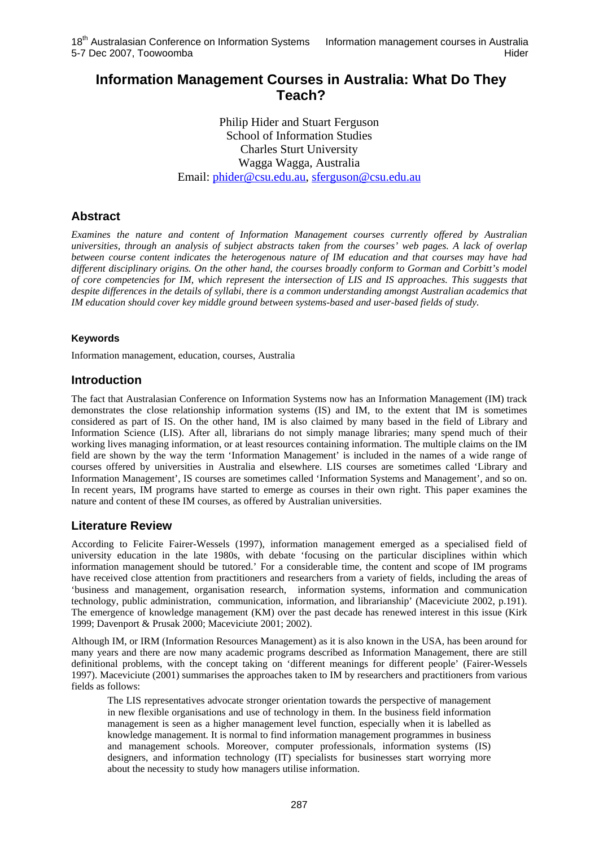# **Information Management Courses in Australia: What Do They Teach?**

Philip Hider and Stuart Ferguson School of Information Studies Charles Sturt University Wagga Wagga, Australia Email: [phider@csu.edu.au](mailto:phider@csu.edu.au), [sferguson@csu.edu.au](mailto:sferguson@csu.edu.au)

# **Abstract**

*Examines the nature and content of Information Management courses currently offered by Australian universities, through an analysis of subject abstracts taken from the courses' web pages. A lack of overlap between course content indicates the heterogenous nature of IM education and that courses may have had different disciplinary origins. On the other hand, the courses broadly conform to Gorman and Corbitt's model of core competencies for IM, which represent the intersection of LIS and IS approaches. This suggests that despite differences in the details of syllabi, there is a common understanding amongst Australian academics that IM education should cover key middle ground between systems-based and user-based fields of study.* 

## **Keywords**

Information management, education, courses, Australia

# **Introduction**

The fact that Australasian Conference on Information Systems now has an Information Management (IM) track demonstrates the close relationship information systems (IS) and IM, to the extent that IM is sometimes considered as part of IS. On the other hand, IM is also claimed by many based in the field of Library and Information Science (LIS). After all, librarians do not simply manage libraries; many spend much of their working lives managing information, or at least resources containing information. The multiple claims on the IM field are shown by the way the term 'Information Management' is included in the names of a wide range of courses offered by universities in Australia and elsewhere. LIS courses are sometimes called 'Library and Information Management', IS courses are sometimes called 'Information Systems and Management', and so on. In recent years, IM programs have started to emerge as courses in their own right. This paper examines the nature and content of these IM courses, as offered by Australian universities.

# **Literature Review**

According to Felicite Fairer-Wessels (1997), information management emerged as a specialised field of university education in the late 1980s, with debate 'focusing on the particular disciplines within which information management should be tutored.' For a considerable time, the content and scope of IM programs have received close attention from practitioners and researchers from a variety of fields, including the areas of 'business and management, organisation research, information systems, information and communication technology, public administration, communication, information, and librarianship' (Maceviciute 2002, p.191). The emergence of knowledge management (KM) over the past decade has renewed interest in this issue (Kirk 1999; Davenport & Prusak 2000; Maceviciute 2001; 2002).

Although IM, or IRM (Information Resources Management) as it is also known in the USA, has been around for many years and there are now many academic programs described as Information Management, there are still definitional problems, with the concept taking on 'different meanings for different people' (Fairer-Wessels 1997). Maceviciute (2001) summarises the approaches taken to IM by researchers and practitioners from various fields as follows:

The LIS representatives advocate stronger orientation towards the perspective of management in new flexible organisations and use of technology in them. In the business field information management is seen as a higher management level function, especially when it is labelled as knowledge management. It is normal to find information management programmes in business and management schools. Moreover, computer professionals, information systems (IS) designers, and information technology (IT) specialists for businesses start worrying more about the necessity to study how managers utilise information.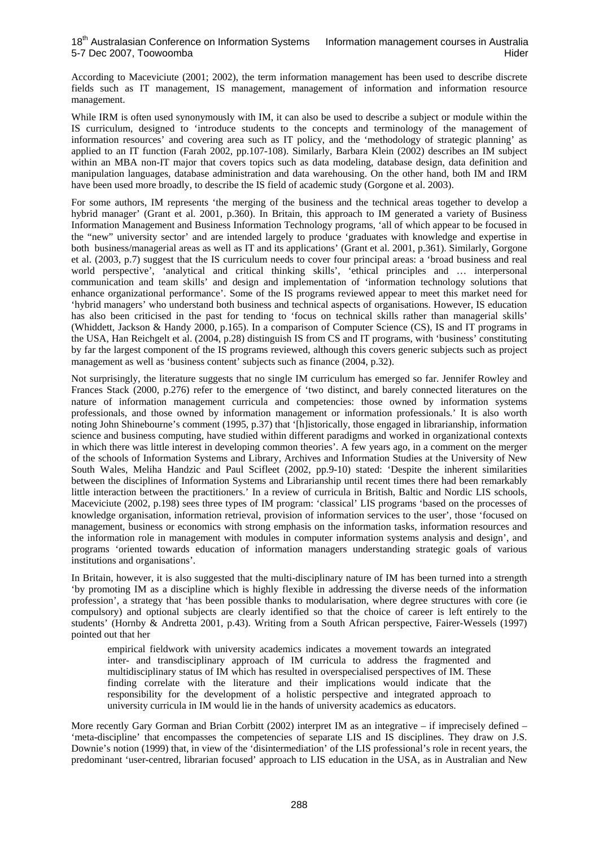According to Maceviciute (2001; 2002), the term information management has been used to describe discrete fields such as IT management, IS management, management of information and information resource management.

While IRM is often used synonymously with IM, it can also be used to describe a subject or module within the IS curriculum, designed to 'introduce students to the concepts and terminology of the management of information resources' and covering area such as IT policy, and the 'methodology of strategic planning' as applied to an IT function (Farah 2002, pp.107-108). Similarly, Barbara Klein (2002) describes an IM subject within an MBA non-IT major that covers topics such as data modeling, database design, data definition and manipulation languages, database administration and data warehousing. On the other hand, both IM and IRM have been used more broadly, to describe the IS field of academic study (Gorgone et al. 2003).

For some authors, IM represents 'the merging of the business and the technical areas together to develop a hybrid manager' (Grant et al. 2001, p.360). In Britain, this approach to IM generated a variety of Business Information Management and Business Information Technology programs, 'all of which appear to be focused in the "new" university sector' and are intended largely to produce 'graduates with knowledge and expertise in both business/managerial areas as well as IT and its applications' (Grant et al. 2001, p.361). Similarly, Gorgone et al. (2003, p.7) suggest that the IS curriculum needs to cover four principal areas: a 'broad business and real world perspective', 'analytical and critical thinking skills', 'ethical principles and ... interpersonal communication and team skills' and design and implementation of 'information technology solutions that enhance organizational performance'. Some of the IS programs reviewed appear to meet this market need for 'hybrid managers' who understand both business and technical aspects of organisations. However, IS education has also been criticised in the past for tending to 'focus on technical skills rather than managerial skills' (Whiddett, Jackson & Handy 2000, p.165). In a comparison of Computer Science (CS), IS and IT programs in the USA, Han Reichgelt et al. (2004, p.28) distinguish IS from CS and IT programs, with 'business' constituting by far the largest component of the IS programs reviewed, although this covers generic subjects such as project management as well as 'business content' subjects such as finance (2004, p.32).

Not surprisingly, the literature suggests that no single IM curriculum has emerged so far. Jennifer Rowley and Frances Stack (2000, p.276) refer to the emergence of 'two distinct, and barely connected literatures on the nature of information management curricula and competencies: those owned by information systems professionals, and those owned by information management or information professionals.' It is also worth noting John Shinebourne's comment (1995, p.37) that '[h]istorically, those engaged in librarianship, information science and business computing, have studied within different paradigms and worked in organizational contexts in which there was little interest in developing common theories'. A few years ago, in a comment on the merger of the schools of Information Systems and Library, Archives and Information Studies at the University of New South Wales, Meliha Handzic and Paul Scifleet (2002, pp.9-10) stated: 'Despite the inherent similarities between the disciplines of Information Systems and Librarianship until recent times there had been remarkably little interaction between the practitioners.' In a review of curricula in British, Baltic and Nordic LIS schools, Maceviciute (2002, p.198) sees three types of IM program: 'classical' LIS programs 'based on the processes of knowledge organisation, information retrieval, provision of information services to the user', those 'focused on management, business or economics with strong emphasis on the information tasks, information resources and the information role in management with modules in computer information systems analysis and design', and programs 'oriented towards education of information managers understanding strategic goals of various institutions and organisations'.

In Britain, however, it is also suggested that the multi-disciplinary nature of IM has been turned into a strength 'by promoting IM as a discipline which is highly flexible in addressing the diverse needs of the information profession', a strategy that 'has been possible thanks to modularisation, where degree structures with core (ie compulsory) and optional subjects are clearly identified so that the choice of career is left entirely to the students' (Hornby & Andretta 2001, p.43). Writing from a South African perspective, Fairer-Wessels (1997) pointed out that her

empirical fieldwork with university academics indicates a movement towards an integrated inter- and transdisciplinary approach of IM curricula to address the fragmented and multidisciplinary status of IM which has resulted in overspecialised perspectives of IM. These finding correlate with the literature and their implications would indicate that the responsibility for the development of a holistic perspective and integrated approach to university curricula in IM would lie in the hands of university academics as educators.

More recently Gary Gorman and Brian Corbitt (2002) interpret IM as an integrative – if imprecisely defined – 'meta-discipline' that encompasses the competencies of separate LIS and IS disciplines. They draw on J.S. Downie's notion (1999) that, in view of the 'disintermediation' of the LIS professional's role in recent years, the predominant 'user-centred, librarian focused' approach to LIS education in the USA, as in Australian and New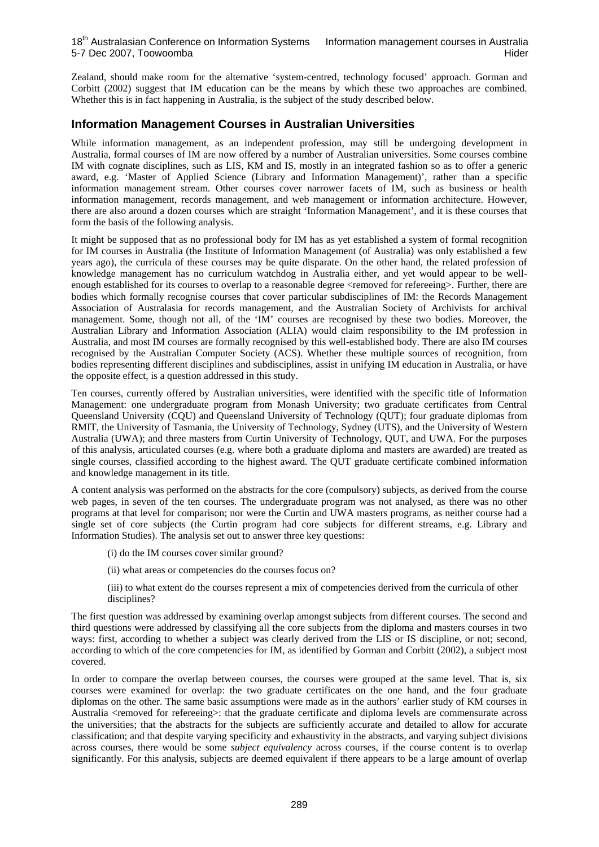#### 18<sup>th</sup> Australasian Conference on Information Systems Information management courses in Australia 5-7 Dec 2007, Toowoomba **Hider** Hider Hider Hider Hider Hider Hider Hider Hider Hider Hider Hider Hider Hider Hider

Zealand, should make room for the alternative 'system-centred, technology focused' approach. Gorman and Corbitt (2002) suggest that IM education can be the means by which these two approaches are combined. Whether this is in fact happening in Australia, is the subject of the study described below.

## **Information Management Courses in Australian Universities**

While information management, as an independent profession, may still be undergoing development in Australia, formal courses of IM are now offered by a number of Australian universities. Some courses combine IM with cognate disciplines, such as LIS, KM and IS, mostly in an integrated fashion so as to offer a generic award, e.g. 'Master of Applied Science (Library and Information Management)', rather than a specific information management stream. Other courses cover narrower facets of IM, such as business or health information management, records management, and web management or information architecture. However, there are also around a dozen courses which are straight 'Information Management', and it is these courses that form the basis of the following analysis.

It might be supposed that as no professional body for IM has as yet established a system of formal recognition for IM courses in Australia (the Institute of Information Management (of Australia) was only established a few years ago), the curricula of these courses may be quite disparate. On the other hand, the related profession of knowledge management has no curriculum watchdog in Australia either, and yet would appear to be wellenough established for its courses to overlap to a reasonable degree <removed for refereeing>. Further, there are bodies which formally recognise courses that cover particular subdisciplines of IM: the Records Management Association of Australasia for records management, and the Australian Society of Archivists for archival management. Some, though not all, of the 'IM' courses are recognised by these two bodies. Moreover, the Australian Library and Information Association (ALIA) would claim responsibility to the IM profession in Australia, and most IM courses are formally recognised by this well-established body. There are also IM courses recognised by the Australian Computer Society (ACS). Whether these multiple sources of recognition, from bodies representing different disciplines and subdisciplines, assist in unifying IM education in Australia, or have the opposite effect, is a question addressed in this study.

Ten courses, currently offered by Australian universities, were identified with the specific title of Information Management: one undergraduate program from Monash University; two graduate certificates from [Central](https://weboutlook.csu.edu.au/ggcontent/course/id/31262/provider/253)  [Queensland University \(CQU\)](https://weboutlook.csu.edu.au/ggcontent/course/id/31262/provider/253) and [Queensland University of Technology \(QUT\)](https://weboutlook.csu.edu.au/ggcontent/course/id/29518/provider/245); four graduate diplomas from RMIT, the University of Tasmania, the University of Technology, Sydney (UTS), and the University of Western Australia (UWA); and three masters from Curtin University of Technology, QUT, and UWA. For the purposes of this analysis, articulated courses (e.g. where both a graduate diploma and masters are awarded) are treated as single courses, classified according to the highest award. The QUT graduate certificate combined information and knowledge management in its title.

A content analysis was performed on the abstracts for the core (compulsory) subjects, as derived from the course web pages, in seven of the ten courses. The undergraduate program was not analysed, as there was no other programs at that level for comparison; nor were the Curtin and UWA masters programs, as neither course had a single set of core subjects (the Curtin program had core subjects for different streams, e.g. Library and Information Studies). The analysis set out to answer three key questions:

- (i) do the IM courses cover similar ground?
- (ii) what areas or competencies do the courses focus on?
- (iii) to what extent do the courses represent a mix of competencies derived from the curricula of other disciplines?

The first question was addressed by examining overlap amongst subjects from different courses. The second and third questions were addressed by classifying all the core subjects from the diploma and masters courses in two ways: first, according to whether a subject was clearly derived from the LIS or IS discipline, or not; second, according to which of the core competencies for IM, as identified by Gorman and Corbitt (2002), a subject most covered.

In order to compare the overlap between courses, the courses were grouped at the same level. That is, six courses were examined for overlap: the two graduate certificates on the one hand, and the four graduate diplomas on the other. The same basic assumptions were made as in the authors' earlier study of KM courses in Australia <removed for refereeing>: that the graduate certificate and diploma levels are commensurate across the universities; that the abstracts for the subjects are sufficiently accurate and detailed to allow for accurate classification; and that despite varying specificity and exhaustivity in the abstracts, and varying subject divisions across courses, there would be some *subject equivalency* across courses, if the course content is to overlap significantly. For this analysis, subjects are deemed equivalent if there appears to be a large amount of overlap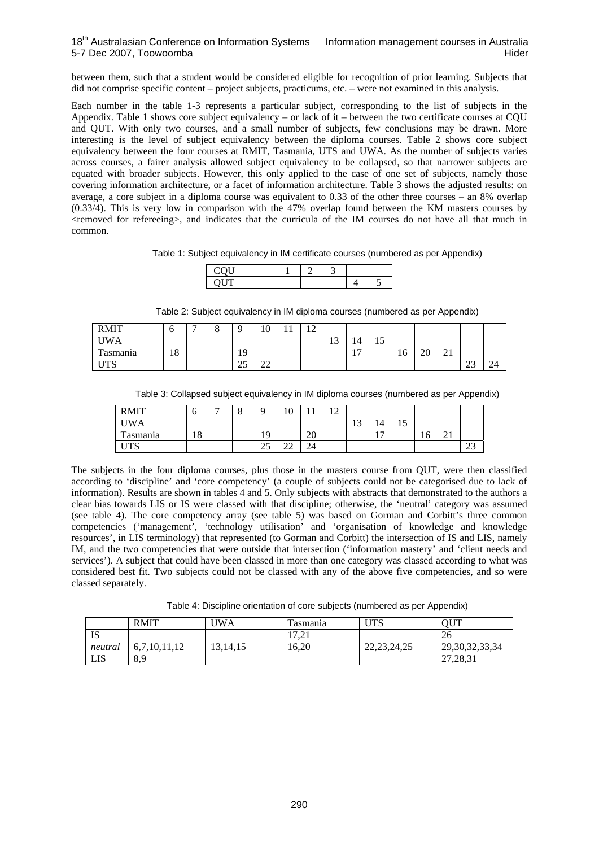between them, such that a student would be considered eligible for recognition of prior learning. Subjects that did not comprise specific content – project subjects, practicums, etc. – were not examined in this analysis.

Each number in the table 1-3 represents a particular subject, corresponding to the list of subjects in the Appendix. Table 1 shows core subject equivalency – or lack of it – between the two certificate courses at CQU and QUT. With only two courses, and a small number of subjects, few conclusions may be drawn. More interesting is the level of subject equivalency between the diploma courses. Table 2 shows core subject equivalency between the four courses at RMIT, Tasmania, UTS and UWA. As the number of subjects varies across courses, a fairer analysis allowed subject equivalency to be collapsed, so that narrower subjects are equated with broader subjects. However, this only applied to the case of one set of subjects, namely those covering information architecture, or a facet of information architecture. Table 3 shows the adjusted results: on average, a core subject in a diploma course was equivalent to 0.33 of the other three courses – an 8% overlap (0.33/4). This is very low in comparison with the 47% overlap found between the KM masters courses by <removed for refereeing>, and indicates that the curricula of the IM courses do not have all that much in common.

Table 1: Subject equivalency in IM certificate courses (numbered as per Appendix)

Table 2: Subject equivalency in IM diploma courses (numbered as per Appendix)

| <b>RMIT</b>              | ◡  | - | $\Omega$<br>0 | $\Omega$              | 1 <sub>O</sub><br>ΙV | 1 <sub>0</sub><br>┸ |                |                      |                                |    |                 |                 |               |    |
|--------------------------|----|---|---------------|-----------------------|----------------------|---------------------|----------------|----------------------|--------------------------------|----|-----------------|-----------------|---------------|----|
| <b>UWA</b>               |    |   |               |                       |                      |                     | 1 <sub>2</sub> | $\overline{A}$<br>14 | $\overline{\phantom{0}}$<br>⊥ັ |    |                 |                 |               |    |
| $\mathbf{r}$<br>`asmania | 18 |   |               | 19                    |                      |                     |                | $\overline{a}$<br>.  |                                | 16 | $\bigcap$<br>ΖU | $^{\sim}$<br>∠⊥ |               |    |
| <b>TITIO</b><br>ΙIJ      |    |   |               | $\cap \subset$<br>ر ر | $\sim$<br>∠∠         |                     |                |                      |                                |    |                 |                 | $\sim$<br>ر_ر | 24 |

|  |  | Table 3: Collapsed subject equivalency in IM diploma courses (numbered as per Appendix) |  |
|--|--|-----------------------------------------------------------------------------------------|--|
|  |  |                                                                                         |  |

| <b>RMIT</b>               | υ         | − | $\sqrt{2}$<br>◡ |                       | ◡            |                | $\epsilon$<br>$\overline{ }$ |               |                                  |                       |    |   |              |
|---------------------------|-----------|---|-----------------|-----------------------|--------------|----------------|------------------------------|---------------|----------------------------------|-----------------------|----|---|--------------|
| <b>IWA</b>                |           |   |                 |                       |              |                |                              | $\sim$<br>⊥ J | 14                               | $\overline{a}$<br>⊥ J |    |   |              |
| $\mathbf{r}$<br>l'asmania | 1 O<br>18 |   |                 | 19                    |              | $\Omega$<br>ZV |                              |               | $\overline{ }$<br>$\blacksquare$ |                       | 10 | ⊷ |              |
| <b>TTDO</b><br>ΙIJ        |           |   |                 | $\cap \subset$<br>ں ر | $\sim$<br>∠∠ | $\sim$<br>▱    |                              |               |                                  |                       |    |   | $\sim$<br>رے |

The subjects in the four diploma courses, plus those in the masters course from QUT, were then classified according to 'discipline' and 'core competency' (a couple of subjects could not be categorised due to lack of information). Results are shown in tables 4 and 5. Only subjects with abstracts that demonstrated to the authors a clear bias towards LIS or IS were classed with that discipline; otherwise, the 'neutral' category was assumed (see table 4). The core competency array (see table 5) was based on Gorman and Corbitt's three common competencies ('management', 'technology utilisation' and 'organisation of knowledge and knowledge resources', in LIS terminology) that represented (to Gorman and Corbitt) the intersection of IS and LIS, namely IM, and the two competencies that were outside that intersection ('information mastery' and 'client needs and services'). A subject that could have been classed in more than one category was classed according to what was considered best fit. Two subjects could not be classed with any of the above five competencies, and so were classed separately.

Table 4: Discipline orientation of core subjects (numbered as per Appendix)

|            | <b>RMIT</b>                                      | 'WA           | l asmanıa | <b>TELO</b><br>U LO | QUT                                |
|------------|--------------------------------------------------|---------------|-----------|---------------------|------------------------------------|
| TΩ<br>12   |                                                  |               | 17.21     |                     | 26                                 |
| neutral    | 7.10.1<br>∪.7<br>$\overline{1}$ . $\overline{1}$ | .14.15<br>1J. | 16.20     | 22, 23, 24, 25      | 29, 30, 32, 33, 34                 |
| <b>LIS</b> | 8,9                                              |               |           |                     | 29.21<br>$\mathcal{L}$<br>21,20,31 |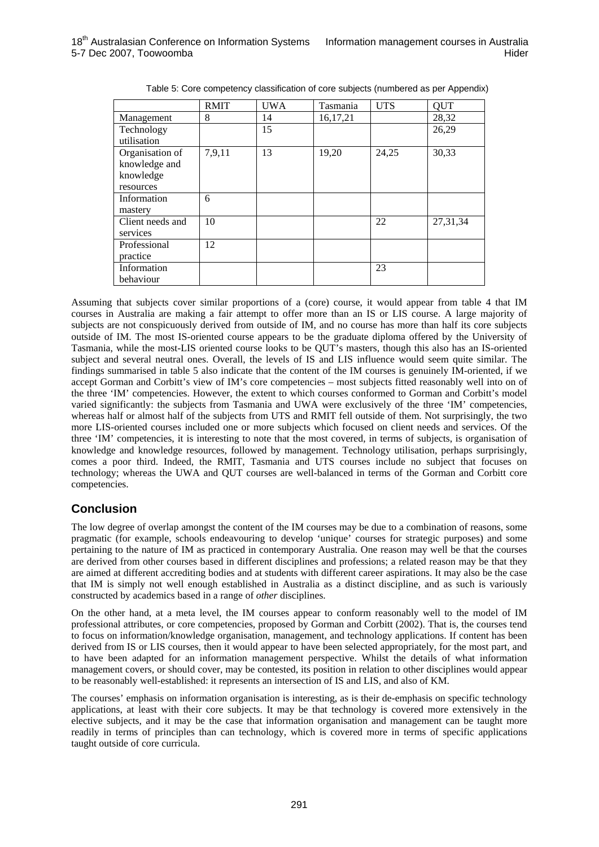|                  | <b>RMIT</b> | <b>UWA</b> | Tasmania   | <b>UTS</b> | QUT        |
|------------------|-------------|------------|------------|------------|------------|
| Management       | 8           | 14         | 16, 17, 21 |            | 28,32      |
| Technology       |             | 15         |            |            | 26,29      |
| utilisation      |             |            |            |            |            |
| Organisation of  | 7,9,11      | 13         | 19,20      | 24,25      | 30,33      |
| knowledge and    |             |            |            |            |            |
| knowledge        |             |            |            |            |            |
| resources        |             |            |            |            |            |
| Information      | 6           |            |            |            |            |
| mastery          |             |            |            |            |            |
| Client needs and | 10          |            |            | 22         | 27, 31, 34 |
| services         |             |            |            |            |            |
| Professional     | 12          |            |            |            |            |
| practice         |             |            |            |            |            |
| Information      |             |            |            | 23         |            |
| behaviour        |             |            |            |            |            |

Table 5: Core competency classification of core subjects (numbered as per Appendix)

Assuming that subjects cover similar proportions of a (core) course, it would appear from table 4 that IM courses in Australia are making a fair attempt to offer more than an IS or LIS course. A large majority of subjects are not conspicuously derived from outside of IM*,* and no course has more than half its core subjects outside of IM. The most IS-oriented course appears to be the graduate diploma offered by the University of Tasmania, while the most-LIS oriented course looks to be QUT's masters, though this also has an IS-oriented subject and several neutral ones. Overall, the levels of IS and LIS influence would seem quite similar. The findings summarised in table 5 also indicate that the content of the IM courses is genuinely IM-oriented, if we accept Gorman and Corbitt's view of IM's core competencies – most subjects fitted reasonably well into on of the three 'IM' competencies. However, the extent to which courses conformed to Gorman and Corbitt's model varied significantly: the subjects from Tasmania and UWA were exclusively of the three 'IM' competencies, whereas half or almost half of the subjects from UTS and RMIT fell outside of them. Not surprisingly, the two more LIS-oriented courses included one or more subjects which focused on client needs and services. Of the three 'IM' competencies, it is interesting to note that the most covered, in terms of subjects, is organisation of knowledge and knowledge resources, followed by management. Technology utilisation, perhaps surprisingly, comes a poor third. Indeed, the RMIT, Tasmania and UTS courses include no subject that focuses on technology; whereas the UWA and QUT courses are well-balanced in terms of the Gorman and Corbitt core competencies.

# **Conclusion**

The low degree of overlap amongst the content of the IM courses may be due to a combination of reasons, some pragmatic (for example, schools endeavouring to develop 'unique' courses for strategic purposes) and some pertaining to the nature of IM as practiced in contemporary Australia. One reason may well be that the courses are derived from other courses based in different disciplines and professions; a related reason may be that they are aimed at different accrediting bodies and at students with different career aspirations. It may also be the case that IM is simply not well enough established in Australia as a distinct discipline, and as such is variously constructed by academics based in a range of *other* disciplines.

On the other hand, at a meta level, the IM courses appear to conform reasonably well to the model of IM professional attributes, or core competencies, proposed by Gorman and Corbitt (2002). That is, the courses tend to focus on information/knowledge organisation, management, and technology applications. If content has been derived from IS or LIS courses, then it would appear to have been selected appropriately, for the most part, and to have been adapted for an information management perspective. Whilst the details of what information management covers, or should cover, may be contested, its position in relation to other disciplines would appear to be reasonably well-established: it represents an intersection of IS and LIS, and also of KM.

The courses' emphasis on information organisation is interesting, as is their de-emphasis on specific technology applications, at least with their core subjects. It may be that technology is covered more extensively in the elective subjects, and it may be the case that information organisation and management can be taught more readily in terms of principles than can technology, which is covered more in terms of specific applications taught outside of core curricula.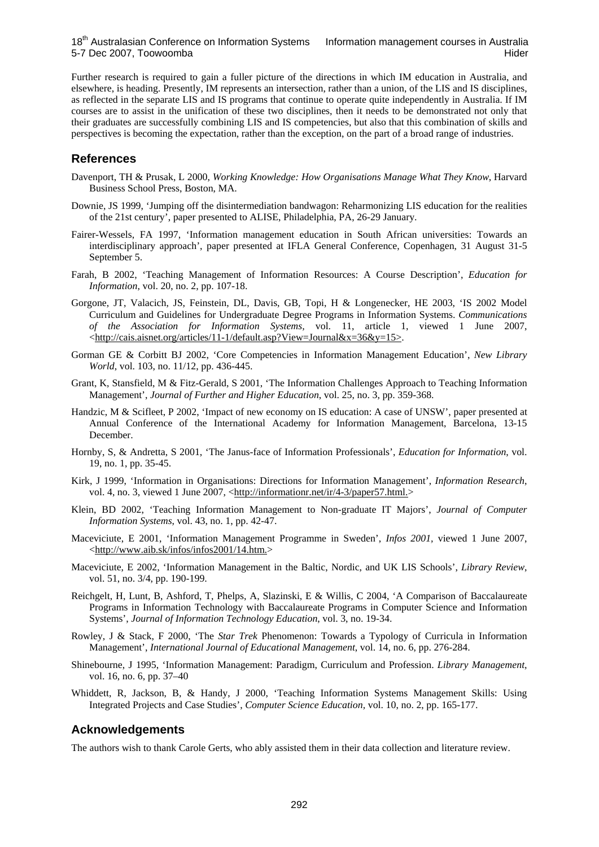18<sup>th</sup> Australasian Conference on Information Systems Information management courses in Australia 5-7 Dec 2007, Toowoomba **Hider** Hider Hider Hider Hider Hider Hider Hider Hider Hider Hider Hider Hider Hider Hider

Further research is required to gain a fuller picture of the directions in which IM education in Australia, and elsewhere, is heading. Presently, IM represents an intersection, rather than a union, of the LIS and IS disciplines, as reflected in the separate LIS and IS programs that continue to operate quite independently in Australia. If IM courses are to assist in the unification of these two disciplines, then it needs to be demonstrated not only that their graduates are successfully combining LIS and IS competencies, but also that this combination of skills and perspectives is becoming the expectation, rather than the exception, on the part of a broad range of industries.

#### **References**

- Davenport, TH & Prusak, L 2000, *Working Knowledge: How Organisations Manage What They Know*, Harvard Business School Press, Boston, MA.
- Downie, JS 1999, 'Jumping off the disintermediation bandwagon: Reharmonizing LIS education for the realities of the 21st century', paper presented to ALISE, Philadelphia, PA, 26-29 January.
- Fairer-Wessels, FA 1997, 'Information management education in South African universities: Towards an interdisciplinary approach', paper presented at IFLA General Conference, Copenhagen, 31 August 31-5 September 5.
- Farah, B 2002, 'Teaching Management of Information Resources: A Course Description', *Education for Information*, vol. 20, no. 2, pp. 107-18.
- Gorgone, JT, Valacich, JS, Feinstein, DL, Davis, GB, Topi, H & Longenecker, HE 2003, 'IS 2002 Model Curriculum and Guidelines for Undergraduate Degree Programs in Information Systems. *Communications of the Association for Information Systems,* vol. 11, article 1, viewed 1 June 2007, <http://cais.aisnet.org/articles/11-1/default.asp?View=Journal&x=36&y=15>.
- Gorman GE & Corbitt BJ 2002, 'Core Competencies in Information Management Education', *New Library World*, vol. 103, no. 11/12, pp. 436-445.
- Grant, K, Stansfield, M & Fitz-Gerald, S 2001, 'The Information Challenges Approach to Teaching Information Management', *Journal of Further and Higher Education*, vol. 25, no. 3, pp. 359-368.
- Handzic, M & Scifleet, P 2002, 'Impact of new economy on IS education: A case of UNSW', paper presented at Annual Conference of the International Academy for Information Management, Barcelona, 13-15 December.
- Hornby, S, & Andretta, S 2001, 'The Janus-face of Information Professionals', *Education for Information*, vol. 19, no. 1, pp. 35-45.
- Kirk, J 1999, 'Information in Organisations: Directions for Information Management', *Information Research*, vol. 4, no. 3, viewed 1 June 2007, <http://informationr.net/ir/4-3/paper57.html.>
- Klein, BD 2002, 'Teaching Information Management to Non-graduate IT Majors', *Journal of Computer Information Systems*, vol. 43, no. 1, pp. 42-47.
- Maceviciute, E 2001, 'Information Management Programme in Sweden', *Infos 2001,* viewed 1 June 2007, <http://www.aib.sk/infos/infos2001/14.htm.>
- Maceviciute, E 2002, 'Information Management in the Baltic, Nordic, and UK LIS Schools', *Library Review*, vol. 51, no. 3/4, pp. 190-199.
- Reichgelt, H, Lunt, B, Ashford, T, Phelps, A, Slazinski, E & Willis, C 2004, 'A Comparison of Baccalaureate Programs in Information Technology with Baccalaureate Programs in Computer Science and Information Systems', *Journal of Information Technology Education*, vol. 3, no. 19-34.
- Rowley, J & Stack, F 2000, 'The *Star Trek* Phenomenon: Towards a Typology of Curricula in Information Management', *International Journal of Educational Management*, vol. 14, no. 6, pp. 276-284.
- Shinebourne, J 1995, 'Information Management: Paradigm, Curriculum and Profession. *Library Management*, vol. 16, no. 6, pp. 37–40
- Whiddett, R, Jackson, B, & Handy, J 2000, 'Teaching Information Systems Management Skills: Using Integrated Projects and Case Studies', *Computer Science Education,* vol. 10, no. 2, pp. 165-177.

### **Acknowledgements**

The authors wish to thank Carole Gerts, who ably assisted them in their data collection and literature review.